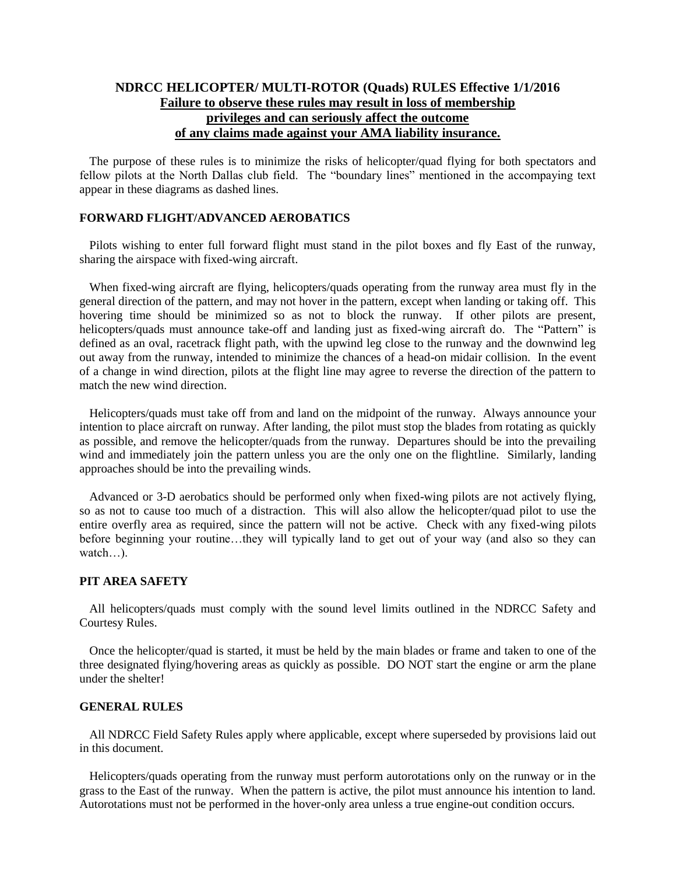## **NDRCC HELICOPTER/ MULTI-ROTOR (Quads) RULES Effective 1/1/2016 Failure to observe these rules may result in loss of membership privileges and can seriously affect the outcome of any claims made against your AMA liability insurance.**

The purpose of these rules is to minimize the risks of helicopter/quad flying for both spectators and fellow pilots at the North Dallas club field. The "boundary lines" mentioned in the accompaying text appear in these diagrams as dashed lines.

### **FORWARD FLIGHT/ADVANCED AEROBATICS**

Pilots wishing to enter full forward flight must stand in the pilot boxes and fly East of the runway, sharing the airspace with fixed-wing aircraft.

When fixed-wing aircraft are flying, helicopters/quads operating from the runway area must fly in the general direction of the pattern, and may not hover in the pattern, except when landing or taking off. This hovering time should be minimized so as not to block the runway. If other pilots are present, helicopters/quads must announce take-off and landing just as fixed-wing aircraft do. The "Pattern" is defined as an oval, racetrack flight path, with the upwind leg close to the runway and the downwind leg out away from the runway, intended to minimize the chances of a head-on midair collision. In the event of a change in wind direction, pilots at the flight line may agree to reverse the direction of the pattern to match the new wind direction.

Helicopters/quads must take off from and land on the midpoint of the runway. Always announce your intention to place aircraft on runway. After landing, the pilot must stop the blades from rotating as quickly as possible, and remove the helicopter/quads from the runway. Departures should be into the prevailing wind and immediately join the pattern unless you are the only one on the flightline. Similarly, landing approaches should be into the prevailing winds.

Advanced or 3-D aerobatics should be performed only when fixed-wing pilots are not actively flying, so as not to cause too much of a distraction. This will also allow the helicopter/quad pilot to use the entire overfly area as required, since the pattern will not be active. Check with any fixed-wing pilots before beginning your routine…they will typically land to get out of your way (and also so they can watch…).

#### **PIT AREA SAFETY**

All helicopters/quads must comply with the sound level limits outlined in the NDRCC Safety and Courtesy Rules.

Once the helicopter/quad is started, it must be held by the main blades or frame and taken to one of the three designated flying/hovering areas as quickly as possible. DO NOT start the engine or arm the plane under the shelter!

#### **GENERAL RULES**

All NDRCC Field Safety Rules apply where applicable, except where superseded by provisions laid out in this document.

Helicopters/quads operating from the runway must perform autorotations only on the runway or in the grass to the East of the runway. When the pattern is active, the pilot must announce his intention to land. Autorotations must not be performed in the hover-only area unless a true engine-out condition occurs.